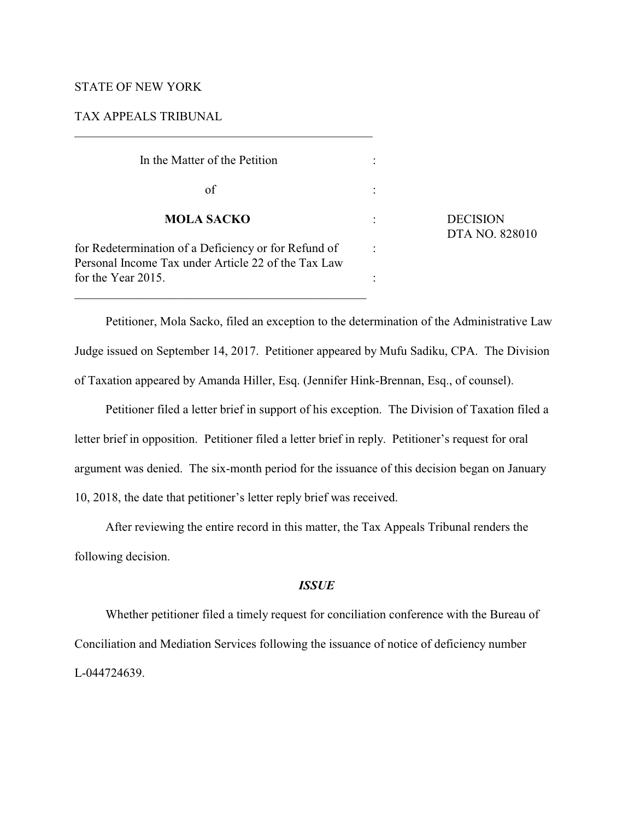## STATE OF NEW YORK

## TAX APPEALS TRIBUNAL

 $\mathcal{L}_\mathcal{L} = \{ \mathcal{L}_\mathcal{L} = \{ \mathcal{L}_\mathcal{L} = \{ \mathcal{L}_\mathcal{L} = \{ \mathcal{L}_\mathcal{L} = \{ \mathcal{L}_\mathcal{L} = \{ \mathcal{L}_\mathcal{L} = \{ \mathcal{L}_\mathcal{L} = \{ \mathcal{L}_\mathcal{L} = \{ \mathcal{L}_\mathcal{L} = \{ \mathcal{L}_\mathcal{L} = \{ \mathcal{L}_\mathcal{L} = \{ \mathcal{L}_\mathcal{L} = \{ \mathcal{L}_\mathcal{L} = \{ \mathcal{L}_\mathcal{$ 

| In the Matter of the Petition                                                                                                     |  |                                   |
|-----------------------------------------------------------------------------------------------------------------------------------|--|-----------------------------------|
| of                                                                                                                                |  | <b>DECISION</b><br>DTA NO. 828010 |
| <b>MOLA SACKO</b>                                                                                                                 |  |                                   |
| for Redetermination of a Deficiency or for Refund of<br>Personal Income Tax under Article 22 of the Tax Law<br>for the Year 2015. |  |                                   |
|                                                                                                                                   |  |                                   |

Petitioner, Mola Sacko, filed an exception to the determination of the Administrative Law Judge issued on September 14, 2017. Petitioner appeared by Mufu Sadiku, CPA. The Division of Taxation appeared by Amanda Hiller, Esq. (Jennifer Hink-Brennan, Esq., of counsel).

Petitioner filed a letter brief in support of his exception. The Division of Taxation filed a letter brief in opposition. Petitioner filed a letter brief in reply. Petitioner's request for oral argument was denied. The six-month period for the issuance of this decision began on January 10, 2018, the date that petitioner's letter reply brief was received.

After reviewing the entire record in this matter, the Tax Appeals Tribunal renders the following decision.

### *ISSUE*

Whether petitioner filed a timely request for conciliation conference with the Bureau of Conciliation and Mediation Services following the issuance of notice of deficiency number L-044724639.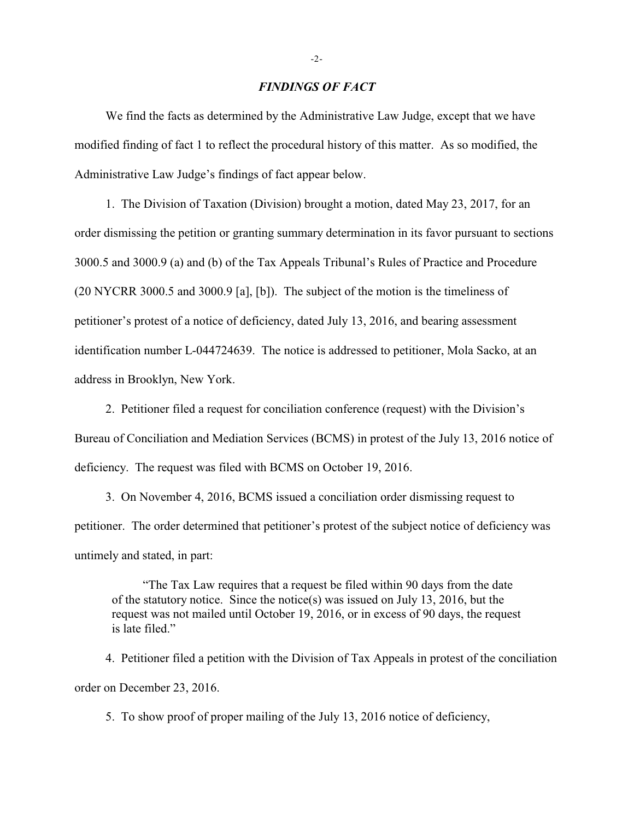#### *FINDINGS OF FACT*

We find the facts as determined by the Administrative Law Judge, except that we have modified finding of fact 1 to reflect the procedural history of this matter. As so modified, the Administrative Law Judge's findings of fact appear below.

1. The Division of Taxation (Division) brought a motion, dated May 23, 2017, for an order dismissing the petition or granting summary determination in its favor pursuant to sections 3000.5 and 3000.9 (a) and (b) of the Tax Appeals Tribunal's Rules of Practice and Procedure (20 NYCRR 3000.5 and 3000.9 [a], [b]). The subject of the motion is the timeliness of petitioner's protest of a notice of deficiency, dated July 13, 2016, and bearing assessment identification number L-044724639. The notice is addressed to petitioner, Mola Sacko, at an address in Brooklyn, New York.

2. Petitioner filed a request for conciliation conference (request) with the Division's Bureau of Conciliation and Mediation Services (BCMS) in protest of the July 13, 2016 notice of deficiency. The request was filed with BCMS on October 19, 2016.

3. On November 4, 2016, BCMS issued a conciliation order dismissing request to petitioner. The order determined that petitioner's protest of the subject notice of deficiency was untimely and stated, in part:

"The Tax Law requires that a request be filed within 90 days from the date of the statutory notice. Since the notice(s) was issued on July 13, 2016, but the request was not mailed until October 19, 2016, or in excess of 90 days, the request is late filed."

4. Petitioner filed a petition with the Division of Tax Appeals in protest of the conciliation order on December 23, 2016.

5. To show proof of proper mailing of the July 13, 2016 notice of deficiency,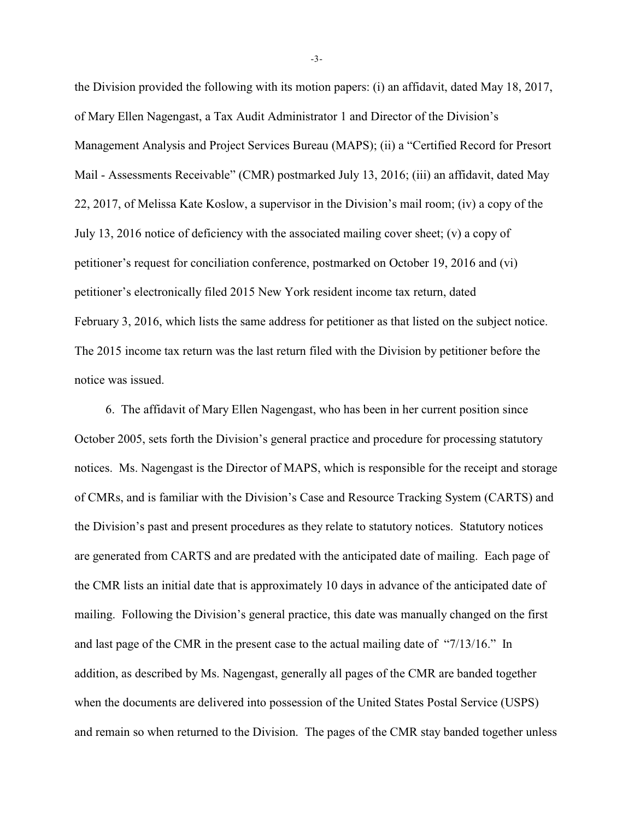the Division provided the following with its motion papers: (i) an affidavit, dated May 18, 2017, of Mary Ellen Nagengast, a Tax Audit Administrator 1 and Director of the Division's Management Analysis and Project Services Bureau (MAPS); (ii) a "Certified Record for Presort Mail - Assessments Receivable" (CMR) postmarked July 13, 2016; (iii) an affidavit, dated May 22, 2017, of Melissa Kate Koslow, a supervisor in the Division's mail room; (iv) a copy of the July 13, 2016 notice of deficiency with the associated mailing cover sheet; (v) a copy of petitioner's request for conciliation conference, postmarked on October 19, 2016 and (vi) petitioner's electronically filed 2015 New York resident income tax return, dated February 3, 2016, which lists the same address for petitioner as that listed on the subject notice. The 2015 income tax return was the last return filed with the Division by petitioner before the notice was issued.

6. The affidavit of Mary Ellen Nagengast, who has been in her current position since October 2005, sets forth the Division's general practice and procedure for processing statutory notices. Ms. Nagengast is the Director of MAPS, which is responsible for the receipt and storage of CMRs, and is familiar with the Division's Case and Resource Tracking System (CARTS) and the Division's past and present procedures as they relate to statutory notices. Statutory notices are generated from CARTS and are predated with the anticipated date of mailing. Each page of the CMR lists an initial date that is approximately 10 days in advance of the anticipated date of mailing. Following the Division's general practice, this date was manually changed on the first and last page of the CMR in the present case to the actual mailing date of "7/13/16." In addition, as described by Ms. Nagengast, generally all pages of the CMR are banded together when the documents are delivered into possession of the United States Postal Service (USPS) and remain so when returned to the Division. The pages of the CMR stay banded together unless

-3-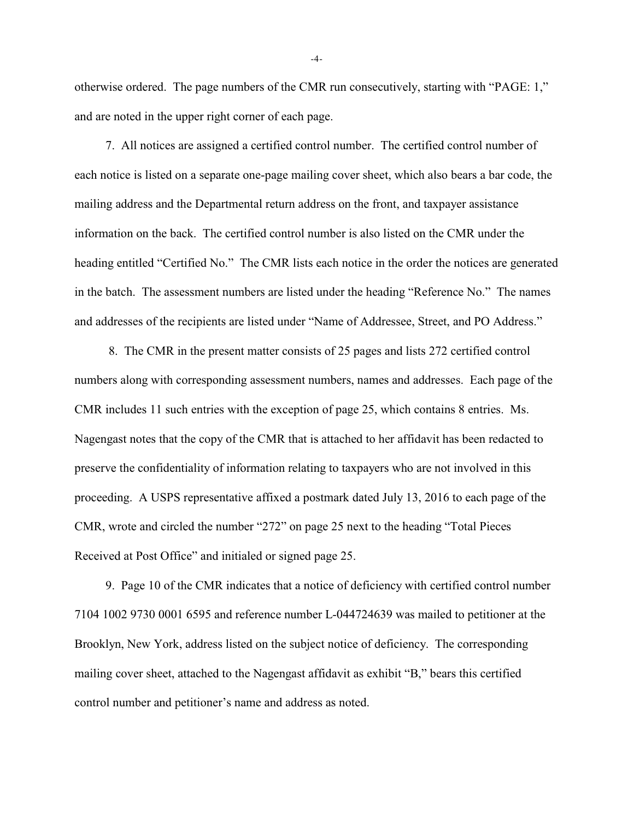otherwise ordered. The page numbers of the CMR run consecutively, starting with "PAGE: 1," and are noted in the upper right corner of each page.

7. All notices are assigned a certified control number. The certified control number of each notice is listed on a separate one-page mailing cover sheet, which also bears a bar code, the mailing address and the Departmental return address on the front, and taxpayer assistance information on the back. The certified control number is also listed on the CMR under the heading entitled "Certified No." The CMR lists each notice in the order the notices are generated in the batch. The assessment numbers are listed under the heading "Reference No." The names and addresses of the recipients are listed under "Name of Addressee, Street, and PO Address."

 8. The CMR in the present matter consists of 25 pages and lists 272 certified control numbers along with corresponding assessment numbers, names and addresses. Each page of the CMR includes 11 such entries with the exception of page 25, which contains 8 entries. Ms. Nagengast notes that the copy of the CMR that is attached to her affidavit has been redacted to preserve the confidentiality of information relating to taxpayers who are not involved in this proceeding. A USPS representative affixed a postmark dated July 13, 2016 to each page of the CMR, wrote and circled the number "272" on page 25 next to the heading "Total Pieces Received at Post Office" and initialed or signed page 25.

9. Page 10 of the CMR indicates that a notice of deficiency with certified control number 7104 1002 9730 0001 6595 and reference number L-044724639 was mailed to petitioner at the Brooklyn, New York, address listed on the subject notice of deficiency. The corresponding mailing cover sheet, attached to the Nagengast affidavit as exhibit "B," bears this certified control number and petitioner's name and address as noted.

-4-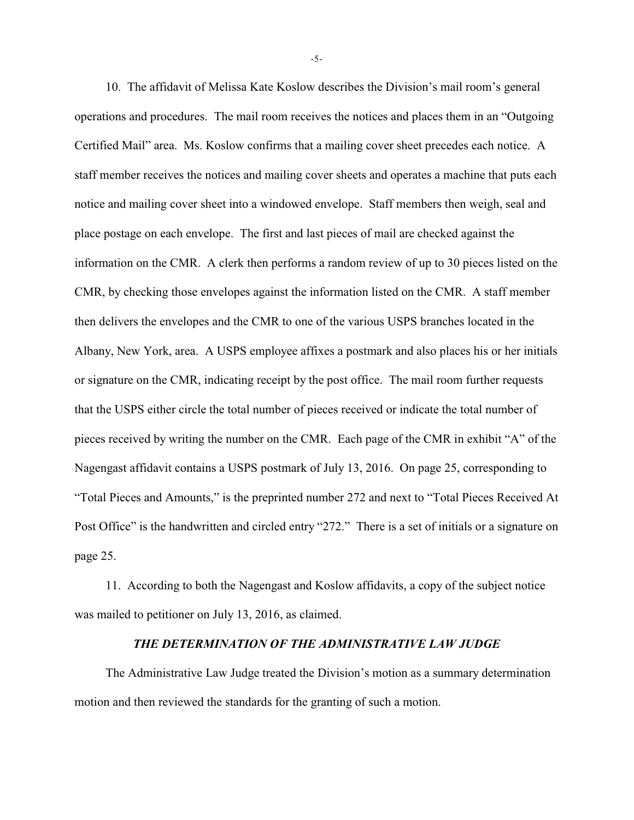10. The affidavit of Melissa Kate Koslow describes the Division's mail room's general operations and procedures. The mail room receives the notices and places them in an "Outgoing Certified Mail" area. Ms. Koslow confirms that a mailing cover sheet precedes each notice. A staff member receives the notices and mailing cover sheets and operates a machine that puts each notice and mailing cover sheet into a windowed envelope. Staff members then weigh, seal and place postage on each envelope. The first and last pieces of mail are checked against the information on the CMR. A clerk then performs a random review of up to 30 pieces listed on the CMR, by checking those envelopes against the information listed on the CMR. A staff member then delivers the envelopes and the CMR to one of the various USPS branches located in the Albany, New York, area. A USPS employee affixes a postmark and also places his or her initials or signature on the CMR, indicating receipt by the post office. The mail room further requests that the USPS either circle the total number of pieces received or indicate the total number of pieces received by writing the number on the CMR. Each page of the CMR in exhibit "A" of the Nagengast affidavit contains a USPS postmark of July 13, 2016. On page 25, corresponding to "Total Pieces and Amounts," is the preprinted number 272 and next to "Total Pieces Received At Post Office" is the handwritten and circled entry "272." There is a set of initials or a signature on page 25.

11. According to both the Nagengast and Koslow affidavits, a copy of the subject notice was mailed to petitioner on July 13, 2016, as claimed.

#### *THE DETERMINATION OF THE ADMINISTRATIVE LAW JUDGE*

The Administrative Law Judge treated the Division's motion as a summary determination motion and then reviewed the standards for the granting of such a motion.

-5-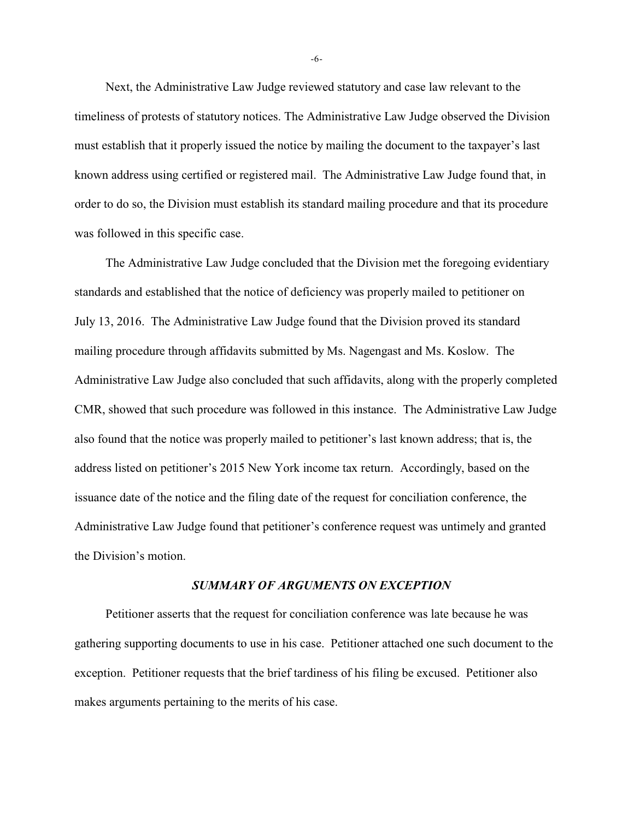Next, the Administrative Law Judge reviewed statutory and case law relevant to the timeliness of protests of statutory notices. The Administrative Law Judge observed the Division must establish that it properly issued the notice by mailing the document to the taxpayer's last known address using certified or registered mail. The Administrative Law Judge found that, in order to do so, the Division must establish its standard mailing procedure and that its procedure was followed in this specific case.

The Administrative Law Judge concluded that the Division met the foregoing evidentiary standards and established that the notice of deficiency was properly mailed to petitioner on July 13, 2016. The Administrative Law Judge found that the Division proved its standard mailing procedure through affidavits submitted by Ms. Nagengast and Ms. Koslow. The Administrative Law Judge also concluded that such affidavits, along with the properly completed CMR, showed that such procedure was followed in this instance. The Administrative Law Judge also found that the notice was properly mailed to petitioner's last known address; that is, the address listed on petitioner's 2015 New York income tax return. Accordingly, based on the issuance date of the notice and the filing date of the request for conciliation conference, the Administrative Law Judge found that petitioner's conference request was untimely and granted the Division's motion.

#### *SUMMARY OF ARGUMENTS ON EXCEPTION*

Petitioner asserts that the request for conciliation conference was late because he was gathering supporting documents to use in his case. Petitioner attached one such document to the exception. Petitioner requests that the brief tardiness of his filing be excused. Petitioner also makes arguments pertaining to the merits of his case.

-6-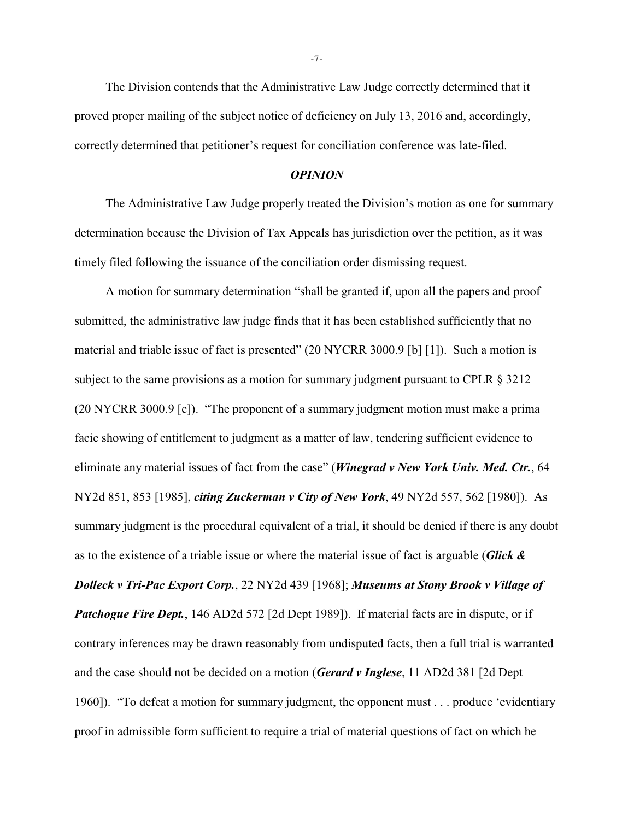The Division contends that the Administrative Law Judge correctly determined that it proved proper mailing of the subject notice of deficiency on July 13, 2016 and, accordingly, correctly determined that petitioner's request for conciliation conference was late-filed.

# *OPINION*

The Administrative Law Judge properly treated the Division's motion as one for summary determination because the Division of Tax Appeals has jurisdiction over the petition, as it was timely filed following the issuance of the conciliation order dismissing request.

A motion for summary determination "shall be granted if, upon all the papers and proof submitted, the administrative law judge finds that it has been established sufficiently that no material and triable issue of fact is presented" (20 NYCRR 3000.9 [b] [1]). Such a motion is subject to the same provisions as a motion for summary judgment pursuant to CPLR  $\S 3212$ (20 NYCRR 3000.9 [c]). "The proponent of a summary judgment motion must make a prima facie showing of entitlement to judgment as a matter of law, tendering sufficient evidence to eliminate any material issues of fact from the case" (*Winegrad v New York Univ. Med. Ctr.*, 64 NY2d 851, 853 [1985], *citing Zuckerman v City of New York*, 49 NY2d 557, 562 [1980]). As summary judgment is the procedural equivalent of a trial, it should be denied if there is any doubt as to the existence of a triable issue or where the material issue of fact is arguable (*Glick & Dolleck v Tri-Pac Export Corp.*, 22 NY2d 439 [1968]; *Museums at Stony Brook v Village of Patchogue Fire Dept.*, 146 AD2d 572 [2d Dept 1989]). If material facts are in dispute, or if contrary inferences may be drawn reasonably from undisputed facts, then a full trial is warranted and the case should not be decided on a motion (*Gerard v Inglese*, 11 AD2d 381 [2d Dept 1960]). "To defeat a motion for summary judgment, the opponent must . . . produce 'evidentiary proof in admissible form sufficient to require a trial of material questions of fact on which he

-7-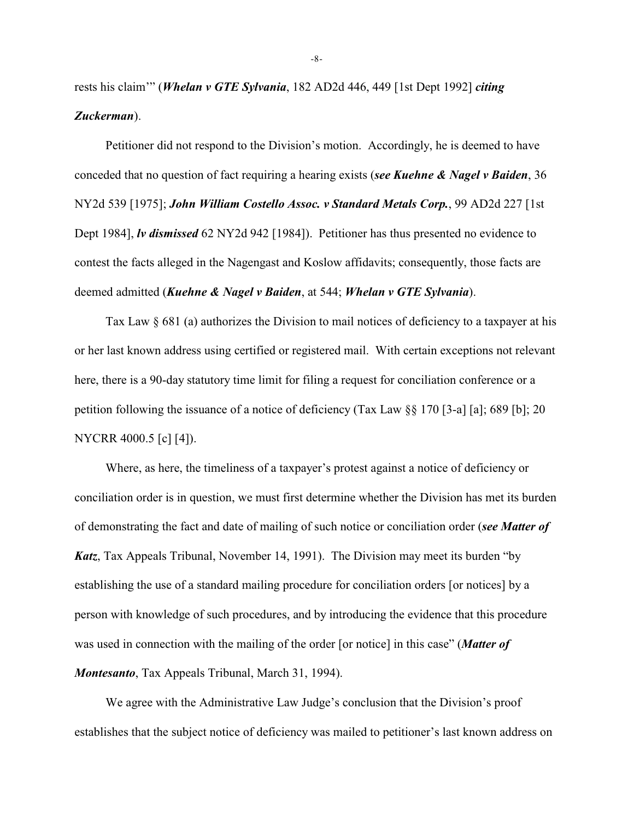rests his claim'" (*Whelan v GTE Sylvania*, 182 AD2d 446, 449 [1st Dept 1992] *citing Zuckerman*).

Petitioner did not respond to the Division's motion. Accordingly, he is deemed to have conceded that no question of fact requiring a hearing exists (*see Kuehne & Nagel v Baiden*, 36 NY2d 539 [1975]; *John William Costello Assoc. v Standard Metals Corp.*, 99 AD2d 227 [1st Dept 1984], *lv dismissed* 62 NY2d 942 [1984]). Petitioner has thus presented no evidence to contest the facts alleged in the Nagengast and Koslow affidavits; consequently, those facts are deemed admitted (*Kuehne & Nagel v Baiden*, at 544; *Whelan v GTE Sylvania*).

Tax Law § 681 (a) authorizes the Division to mail notices of deficiency to a taxpayer at his or her last known address using certified or registered mail. With certain exceptions not relevant here, there is a 90-day statutory time limit for filing a request for conciliation conference or a petition following the issuance of a notice of deficiency (Tax Law §§ 170 [3-a] [a]; 689 [b]; 20 NYCRR 4000.5 [c] [4]).

Where, as here, the timeliness of a taxpayer's protest against a notice of deficiency or conciliation order is in question, we must first determine whether the Division has met its burden of demonstrating the fact and date of mailing of such notice or conciliation order (*see Matter of Katz*, Tax Appeals Tribunal, November 14, 1991). The Division may meet its burden "by establishing the use of a standard mailing procedure for conciliation orders [or notices] by a person with knowledge of such procedures, and by introducing the evidence that this procedure was used in connection with the mailing of the order [or notice] in this case" (*Matter of Montesanto*, Tax Appeals Tribunal, March 31, 1994).

We agree with the Administrative Law Judge's conclusion that the Division's proof establishes that the subject notice of deficiency was mailed to petitioner's last known address on

-8-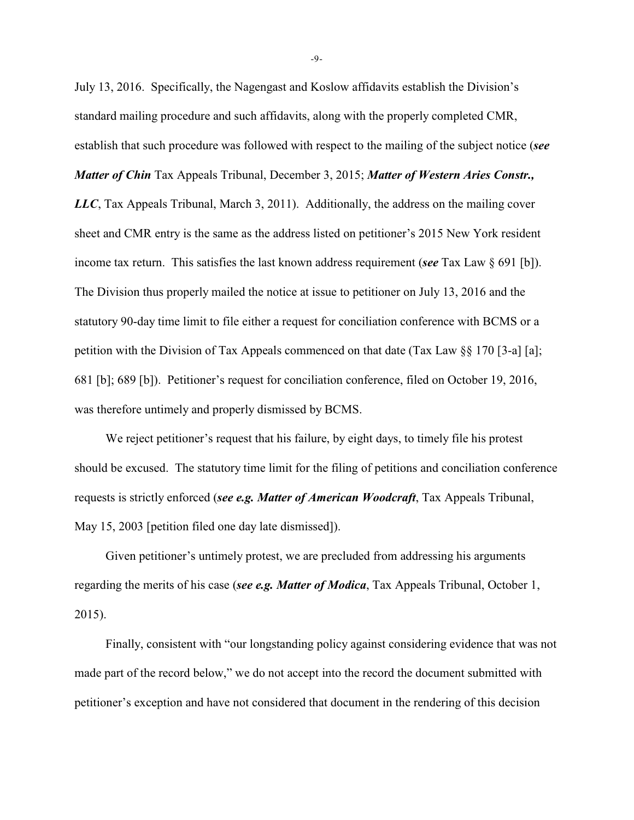July 13, 2016. Specifically, the Nagengast and Koslow affidavits establish the Division's standard mailing procedure and such affidavits, along with the properly completed CMR, establish that such procedure was followed with respect to the mailing of the subject notice (*see Matter of Chin* Tax Appeals Tribunal, December 3, 2015; *Matter of Western Aries Constr., LLC*, Tax Appeals Tribunal, March 3, 2011). Additionally, the address on the mailing cover sheet and CMR entry is the same as the address listed on petitioner's 2015 New York resident income tax return. This satisfies the last known address requirement (*see* Tax Law § 691 [b]). The Division thus properly mailed the notice at issue to petitioner on July 13, 2016 and the statutory 90-day time limit to file either a request for conciliation conference with BCMS or a petition with the Division of Tax Appeals commenced on that date (Tax Law §§ 170 [3-a] [a]; 681 [b]; 689 [b]). Petitioner's request for conciliation conference, filed on October 19, 2016, was therefore untimely and properly dismissed by BCMS.

We reject petitioner's request that his failure, by eight days, to timely file his protest should be excused. The statutory time limit for the filing of petitions and conciliation conference requests is strictly enforced (*see e.g. Matter of American Woodcraft*, Tax Appeals Tribunal, May 15, 2003 [petition filed one day late dismissed]).

Given petitioner's untimely protest, we are precluded from addressing his arguments regarding the merits of his case (*see e.g. Matter of Modica*, Tax Appeals Tribunal, October 1, 2015).

Finally, consistent with "our longstanding policy against considering evidence that was not made part of the record below," we do not accept into the record the document submitted with petitioner's exception and have not considered that document in the rendering of this decision

-9-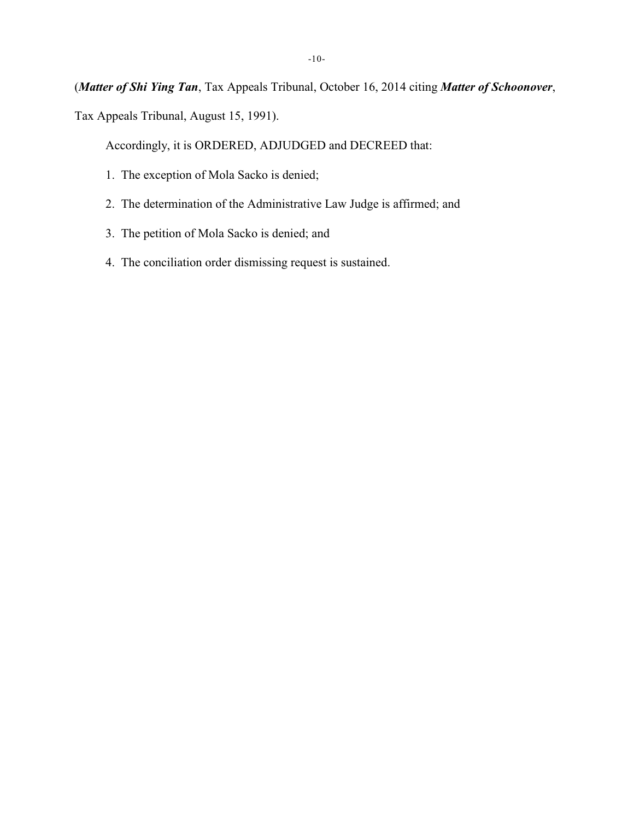(*Matter of Shi Ying Tan*, Tax Appeals Tribunal, October 16, 2014 citing *Matter of Schoonover*, Tax Appeals Tribunal, August 15, 1991).

Accordingly, it is ORDERED, ADJUDGED and DECREED that:

- 1. The exception of Mola Sacko is denied;
- 2. The determination of the Administrative Law Judge is affirmed; and
- 3. The petition of Mola Sacko is denied; and
- 4. The conciliation order dismissing request is sustained.